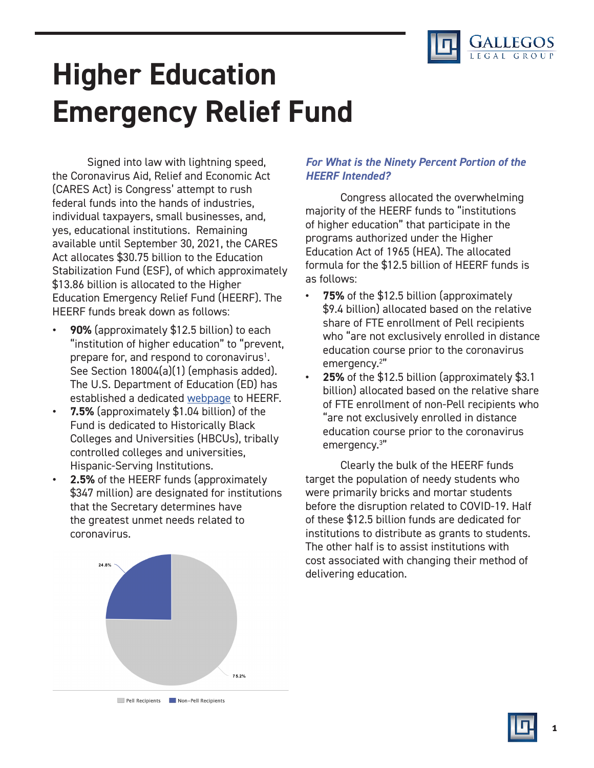

# **Higher Education Emergency Relief Fund**

Signed into law with lightning speed, the Coronavirus Aid, Relief and Economic Act (CARES Act) is Congress' attempt to rush federal funds into the hands of industries, individual taxpayers, small businesses, and, yes, educational institutions. Remaining available until September 30, 2021, the CARES Act allocates \$30.75 billion to the Education Stabilization Fund (ESF), of which approximately \$13.86 billion is allocated to the Higher Education Emergency Relief Fund (HEERF). The HEERF funds break down as follows:

- **• 90%** (approximately \$12.5 billion) to each "institution of higher education" to "prevent, prepare for, and respond to coronavirus<sup>1</sup>. See Section 18004(a)(1) (emphasis added). The U.S. Department of Education (ED) has established a dedicated [webpage](https://www2.ed.gov/about/offices/list/ope/caresact.html) to HEERF.
- **• 7.5%** (approximately \$1.04 billion) of the Fund is dedicated to Historically Black Colleges and Universities (HBCUs), tribally controlled colleges and universities, Hispanic-Serving Institutions.
- **• 2.5%** of the HEERF funds (approximately \$347 million) are designated for institutions that the Secretary determines have the greatest unmet needs related to coronavirus.



## *For What is the Ninety Percent Portion of the HEERF Intended?*

Congress allocated the overwhelming majority of the HEERF funds to "institutions of higher education" that participate in the programs authorized under the Higher Education Act of 1965 (HEA). The allocated formula for the \$12.5 billion of HEERF funds is as follows:

- **• 75%** of the \$12.5 billion (approximately \$9.4 billion) allocated based on the relative share of FTE enrollment of Pell recipients who "are not exclusively enrolled in distance education course prior to the coronavirus emergency.2 "
- **• 25%** of the \$12.5 billion (approximately \$3.1 billion) allocated based on the relative share of FTE enrollment of non-Pell recipients who "are not exclusively enrolled in distance education course prior to the coronavirus emergency.3 "

Clearly the bulk of the HEERF funds target the population of needy students who were primarily bricks and mortar students before the disruption related to COVID-19. Half of these \$12.5 billion funds are dedicated for institutions to distribute as grants to students. The other half is to assist institutions with cost associated with changing their method of delivering education.

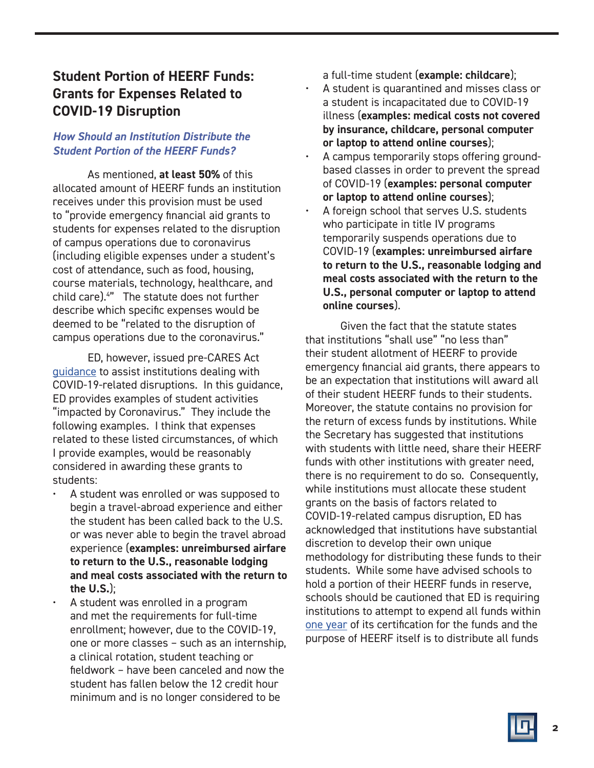## **Student Portion of HEERF Funds: Grants for Expenses Related to COVID-19 Disruption**

## *How Should an Institution Distribute the Student Portion of the HEERF Funds?*

As mentioned, **at least 50%** of this allocated amount of HEERF funds an institution receives under this provision must be used to "provide emergency financial aid grants to students for expenses related to the disruption of campus operations due to coronavirus (including eligible expenses under a student's cost of attendance, such as food, housing, course materials, technology, healthcare, and child care).4 " The statute does not further describe which specific expenses would be deemed to be "related to the disruption of campus operations due to the coronavirus."

ED, however, issued pre-CARES Act [guidance](https://ifap.ed.gov/electronic-announcements/030520Guidance4interruptionsrelated2CoronavirusCOVID19) to assist institutions dealing with COVID-19-related disruptions. In this guidance, ED provides examples of student activities "impacted by Coronavirus." They include the following examples. I think that expenses related to these listed circumstances, of which I provide examples, would be reasonably considered in awarding these grants to students:

- A student was enrolled or was supposed to begin a travel-abroad experience and either the student has been called back to the U.S. or was never able to begin the travel abroad experience (**examples: unreimbursed airfare to return to the U.S., reasonable lodging and meal costs associated with the return to the U.S.**);
- A student was enrolled in a program and met the requirements for full-time enrollment; however, due to the COVID-19, one or more classes – such as an internship, a clinical rotation, student teaching or fieldwork – have been canceled and now the student has fallen below the 12 credit hour minimum and is no longer considered to be

a full-time student (**example: childcare**);

- A student is quarantined and misses class or a student is incapacitated due to COVID-19 illness (**examples: medical costs not covered by insurance, childcare, personal computer or laptop to attend online courses**);
- A campus temporarily stops offering groundbased classes in order to prevent the spread of COVID-19 (**examples: personal computer or laptop to attend online courses**);
- A foreign school that serves U.S. students who participate in title IV programs temporarily suspends operations due to COVID-19 (**examples: unreimbursed airfare to return to the U.S., reasonable lodging and meal costs associated with the return to the U.S., personal computer or laptop to attend online courses**).

Given the fact that the statute states that institutions "shall use" "no less than" their student allotment of HEERF to provide emergency financial aid grants, there appears to be an expectation that institutions will award all of their student HEERF funds to their students. Moreover, the statute contains no provision for the return of excess funds by institutions. While the Secretary has suggested that institutions with students with little need, share their HEERF funds with other institutions with greater need, there is no requirement to do so. Consequently, while institutions must allocate these student grants on the basis of factors related to COVID-19-related campus disruption, ED has acknowledged that institutions have substantial discretion to develop their own unique methodology for distributing these funds to their students. While some have advised schools to hold a portion of their HEERF funds in reserve, schools should be cautioned that ED is requiring institutions to attempt to expend all funds within [one year](https://www2.ed.gov/about/offices/list/ope/caresheerfcertificationandagreementfinalombapprovedforissuance.pdf) of its certification for the funds and the purpose of HEERF itself is to distribute all funds

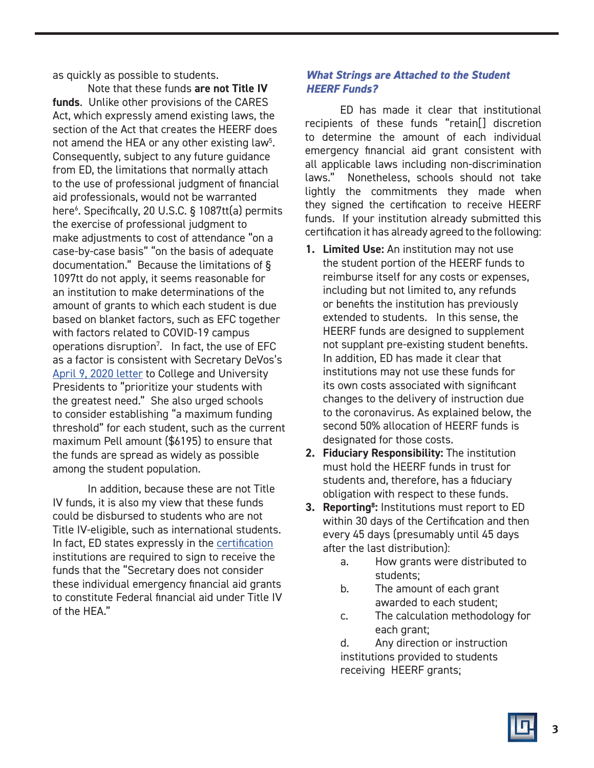as quickly as possible to students.

Note that these funds **are not Title IV funds**. Unlike other provisions of the CARES Act, which expressly amend existing laws, the section of the Act that creates the HEERF does not amend the HEA or any other existing law<sup>5</sup>. Consequently, subject to any future guidance from ED, the limitations that normally attach to the use of professional judgment of financial aid professionals, would not be warranted here6 . Specifically, 20 U.S.C. § 1087tt(a) permits the exercise of professional judgment to make adjustments to cost of attendance "on a case-by-case basis" "on the basis of adequate documentation." Because the limitations of § 1097tt do not apply, it seems reasonable for an institution to make determinations of the amount of grants to which each student is due based on blanket factors, such as EFC together with factors related to COVID-19 campus operations disruption<sup>7</sup>. In fact, the use of EFC as a factor is consistent with Secretary DeVos's [April 9, 2020 letter](https://www2.ed.gov/about/offices/list/ope/caresactgrantfundingcoverletterfinal.pdf) to College and University Presidents to "prioritize your students with the greatest need." She also urged schools to consider establishing "a maximum funding threshold" for each student, such as the current maximum Pell amount (\$6195) to ensure that the funds are spread as widely as possible among the student population.

In addition, because these are not Title IV funds, it is also my view that these funds could be disbursed to students who are not Title IV-eligible, such as international students. In fact, ED states expressly in the [certification](https://www2.ed.gov/about/offices/list/ope/caresheerfcertificationandagreementfinalombapprovedforissuance.pdf) institutions are required to sign to receive the funds that the "Secretary does not consider these individual emergency financial aid grants to constitute Federal financial aid under Title IV of the HEA."

## *What Strings are Attached to the Student HEERF Funds?*

ED has made it clear that institutional recipients of these funds "retain[] discretion to determine the amount of each individual emergency financial aid grant consistent with all applicable laws including non-discrimination laws." Nonetheless, schools should not take lightly the commitments they made when they signed the certification to receive HEERF funds. If your institution already submitted this certification it has already agreed to the following:

- **1. Limited Use:** An institution may not use the student portion of the HEERF funds to reimburse itself for any costs or expenses, including but not limited to, any refunds or benefits the institution has previously extended to students. In this sense, the HEERF funds are designed to supplement not supplant pre-existing student benefits. In addition, ED has made it clear that institutions may not use these funds for its own costs associated with significant changes to the delivery of instruction due to the coronavirus. As explained below, the second 50% allocation of HEERF funds is designated for those costs.
- **2. Fiduciary Responsibility:** The institution must hold the HEERF funds in trust for students and, therefore, has a fiduciary obligation with respect to these funds.
- **3. Reporting8 :** Institutions must report to ED within 30 days of the Certification and then every 45 days (presumably until 45 days after the last distribution):
	- a. How grants were distributed to students;
	- b. The amount of each grant awarded to each student;
	- c. The calculation methodology for each grant;

d. Any direction or instruction institutions provided to students receiving HEERF grants;

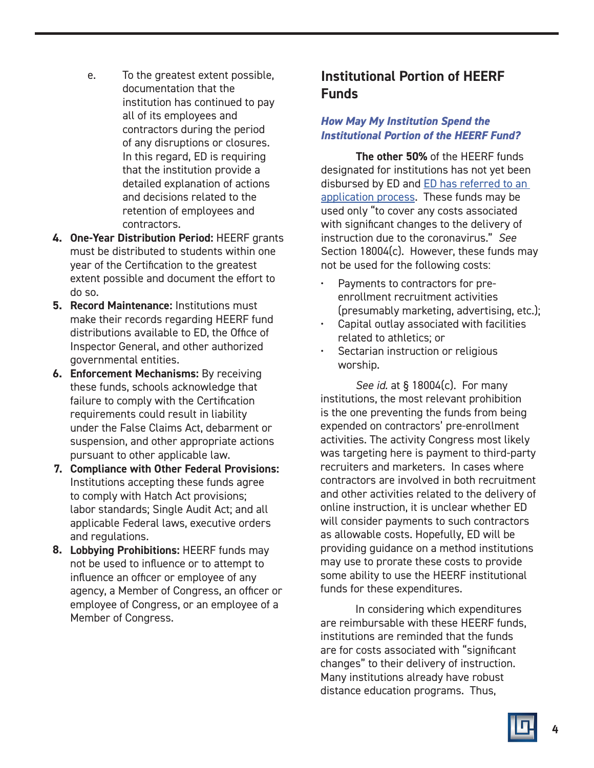- e. To the greatest extent possible, documentation that the institution has continued to pay all of its employees and contractors during the period of any disruptions or closures. In this regard, ED is requiring that the institution provide a detailed explanation of actions and decisions related to the retention of employees and contractors.
- **1. One-Year Distribution Period:** HEERF grants **4.** must be distributed to students within one year of the Certification to the greatest extent possible and document the effort to do so.
- **2. Record Maintenance:** Institutions must **5.** make their records regarding HEERF fund distributions available to ED, the Office of Inspector General, and other authorized governmental entities.
- **3. Enforcement Mechanisms:** By receiving **6.** these funds, schools acknowledge that failure to comply with the Certification requirements could result in liability under the False Claims Act, debarment or suspension, and other appropriate actions pursuant to other applicable law.
- **4. Compliance with Other Federal Provisions: 7.** Institutions accepting these funds agree to comply with Hatch Act provisions; labor standards; Single Audit Act; and all applicable Federal laws, executive orders and regulations.
- **5. Lobbying Prohibitions:** HEERF funds may **8.** not be used to influence or to attempt to influence an officer or employee of any agency, a Member of Congress, an officer or employee of Congress, or an employee of a Member of Congress.

## **Institutional Portion of HEERF Funds**

## *How May My Institution Spend the Institutional Portion of the HEERF Fund?*

**The other 50%** of the HEERF funds designated for institutions has not yet been disbursed by ED and [ED has referred to an](https://www2.ed.gov/about/offices/list/ope/caresactgrantfundingcoverletterfinal.pdf)  [application process.](https://www2.ed.gov/about/offices/list/ope/caresactgrantfundingcoverletterfinal.pdf) These funds may be used only "to cover any costs associated with significant changes to the delivery of instruction due to the coronavirus." *See* Section 18004(c). However, these funds may not be used for the following costs:

- Payments to contractors for preenrollment recruitment activities (presumably marketing, advertising, etc.);
- Capital outlay associated with facilities related to athletics; or
- Sectarian instruction or religious worship.

*See id.* at § 18004(c). For many institutions, the most relevant prohibition is the one preventing the funds from being expended on contractors' pre-enrollment activities. The activity Congress most likely was targeting here is payment to third-party recruiters and marketers. In cases where contractors are involved in both recruitment and other activities related to the delivery of online instruction, it is unclear whether ED will consider payments to such contractors as allowable costs. Hopefully, ED will be providing guidance on a method institutions may use to prorate these costs to provide some ability to use the HEERF institutional funds for these expenditures.

In considering which expenditures are reimbursable with these HEERF funds, institutions are reminded that the funds are for costs associated with "significant changes" to their delivery of instruction. Many institutions already have robust distance education programs. Thus,

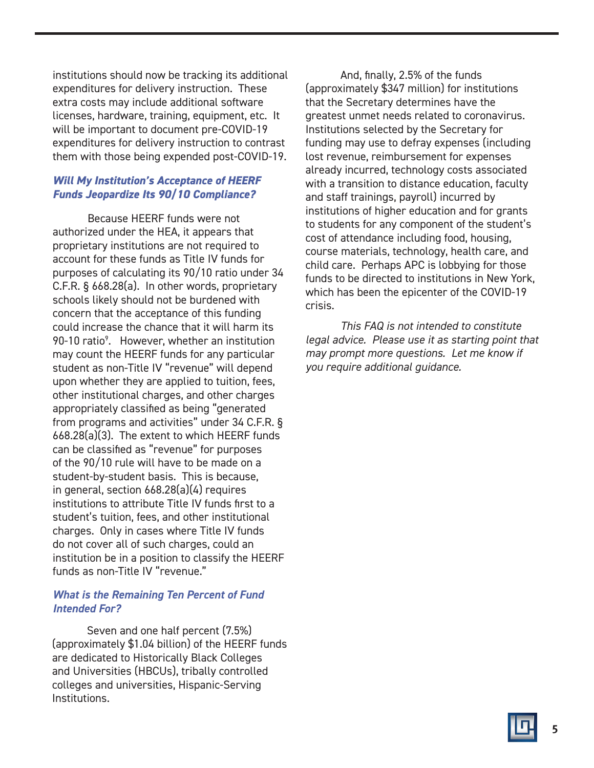institutions should now be tracking its additional expenditures for delivery instruction. These extra costs may include additional software licenses, hardware, training, equipment, etc. It will be important to document pre-COVID-19 expenditures for delivery instruction to contrast them with those being expended post-COVID-19.

## *Will My Institution's Acceptance of HEERF Funds Jeopardize Its 90/10 Compliance?*

Because HEERF funds were not authorized under the HEA, it appears that proprietary institutions are not required to account for these funds as Title IV funds for purposes of calculating its 90/10 ratio under 34 C.F.R. § 668.28(a). In other words, proprietary schools likely should not be burdened with concern that the acceptance of this funding could increase the chance that it will harm its 90-10 ratio<sup>9</sup>. However, whether an institution may count the HEERF funds for any particular student as non-Title IV "revenue" will depend upon whether they are applied to tuition, fees, other institutional charges, and other charges appropriately classified as being "generated from programs and activities" under 34 C.F.R. § 668.28(a)(3). The extent to which HEERF funds can be classified as "revenue" for purposes of the 90/10 rule will have to be made on a student-by-student basis. This is because, in general, section 668.28(a)(4) requires institutions to attribute Title IV funds first to a student's tuition, fees, and other institutional charges. Only in cases where Title IV funds do not cover all of such charges, could an institution be in a position to classify the HEERF funds as non-Title IV "revenue."

## *What is the Remaining Ten Percent of Fund Intended For?*

Seven and one half percent (7.5%) (approximately \$1.04 billion) of the HEERF funds are dedicated to Historically Black Colleges and Universities (HBCUs), tribally controlled colleges and universities, Hispanic-Serving Institutions.

And, finally, 2.5% of the funds (approximately \$347 million) for institutions that the Secretary determines have the greatest unmet needs related to coronavirus. Institutions selected by the Secretary for funding may use to defray expenses (including lost revenue, reimbursement for expenses already incurred, technology costs associated with a transition to distance education, faculty and staff trainings, payroll) incurred by institutions of higher education and for grants to students for any component of the student's cost of attendance including food, housing, course materials, technology, health care, and child care. Perhaps APC is lobbying for those funds to be directed to institutions in New York, which has been the epicenter of the COVID-19 crisis.

*This FAQ is not intended to constitute legal advice. Please use it as starting point that may prompt more questions. Let me know if you require additional guidance.*